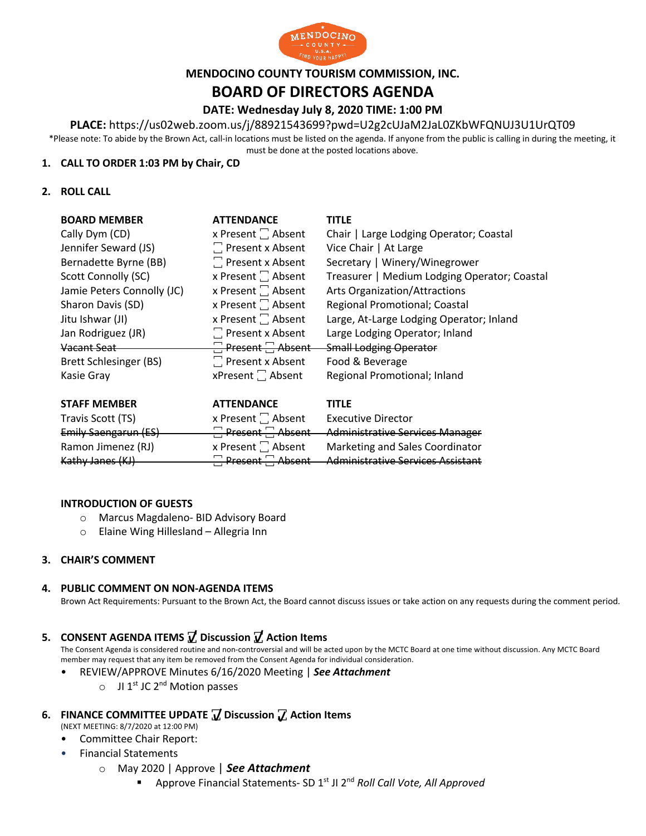

## **MENDOCINO COUNTY TOURISM COMMISSION, INC.**

# **BOARD OF DIRECTORS AGENDA**

## **DATE: Wednesday July 8, 2020 TIME: 1:00 PM**

#### **PLACE:** https://us02web.zoom.us/j/88921543699?pwd=U2g2cUJaM2JaL0ZKbWFQNUJ3U1UrQT09

\*Please note: To abide by the Brown Act, call-in locations must be listed on the agenda. If anyone from the public is calling in during the meeting, it must be done at the posted locations above.

#### **1. CALL TO ORDER 1:03 PM by Chair, CD**

#### **2. ROLL CALL**

| <b>BOARD MEMBER</b>           | <b>ATTENDANCE</b>             | <b>TITLE</b>                                 |
|-------------------------------|-------------------------------|----------------------------------------------|
| Cally Dym (CD)                | x Present $\Box$ Absent       | Chair   Large Lodging Operator; Coastal      |
| Jennifer Seward (JS)          | $\Box$ Present x Absent       | Vice Chair   At Large                        |
| Bernadette Byrne (BB)         | $\Box$ Present x Absent       | Secretary   Winery/Winegrower                |
| <b>Scott Connolly (SC)</b>    | x Present $\Box$ Absent       | Treasurer   Medium Lodging Operator; Coastal |
| Jamie Peters Connolly (JC)    | x Present $\Box$ Absent       | <b>Arts Organization/Attractions</b>         |
| Sharon Davis (SD)             | x Present <sup>1</sup> Absent | Regional Promotional; Coastal                |
| Jitu Ishwar (JI)              | x Present $\Box$ Absent       | Large, At-Large Lodging Operator; Inland     |
| Jan Rodriguez (JR)            | $\Box$ Present x Absent       | Large Lodging Operator; Inland               |
| Vacant Seat                   | $\Box$ Present $\Box$ Absent  | <b>Small Lodging Operator</b>                |
| <b>Brett Schlesinger (BS)</b> | $\Box$ Present x Absent       | Food & Beverage                              |
| Kasie Gray                    | $x$ Present $\Box$ Absent     | Regional Promotional; Inland                 |

| <b>STAFF MEMBER</b>  | <b>ATTENDANCE</b>            | <b>TITLF</b>                           |
|----------------------|------------------------------|----------------------------------------|
| Travis Scott (TS)    | x Present $\Box$ Absent      | <b>Executive Director</b>              |
| Emily Saengarun (ES) | $\Box$ Present $\Box$ Absent | <b>Administrative Services Manager</b> |
| Ramon Jimenez (RJ)   | x Present   Absent           | Marketing and Sales Coordinator        |
| Kathy Janes (KJ)     | $\Box$ Present $\Box$ Absent | - Administrative Services Assistant    |

#### **INTRODUCTION OF GUESTS**

- o Marcus Magdaleno- BID Advisory Board
- o Elaine Wing Hillesland Allegria Inn

#### **3. CHAIR'S COMMENT**

#### **4. PUBLIC COMMENT ON NON-AGENDA ITEMS**

Brown Act Requirements: Pursuant to the Brown Act, the Board cannot discuss issues or take action on any requests during the comment period.

## **5. CONSENT AGENDA ITEMS ꙱ Discussion ꙱ Action Items**

The Consent Agenda is considered routine and non-controversial and will be acted upon by the MCTC Board at one time without discussion. Any MCTC Board member may request that any item be removed from the Consent Agenda for individual consideration.

- REVIEW/APPROVE Minutes 6/16/2020 Meeting | *See Attachment*
	- $\circ$  JI 1<sup>st</sup> JC 2<sup>nd</sup> Motion passes

### **6. FINANCE COMMITTEE UPDATE ꙱ Discussion ꙱ Action Items**

- (NEXT MEETING: 8/7/2020 at 12:00 PM)
- Committee Chair Report:
- Financial Statements
	- o May 2020 | Approve | *See Attachment*
		- § Approve Financial Statements- SD 1st JI 2nd *Roll Call Vote, All Approved*